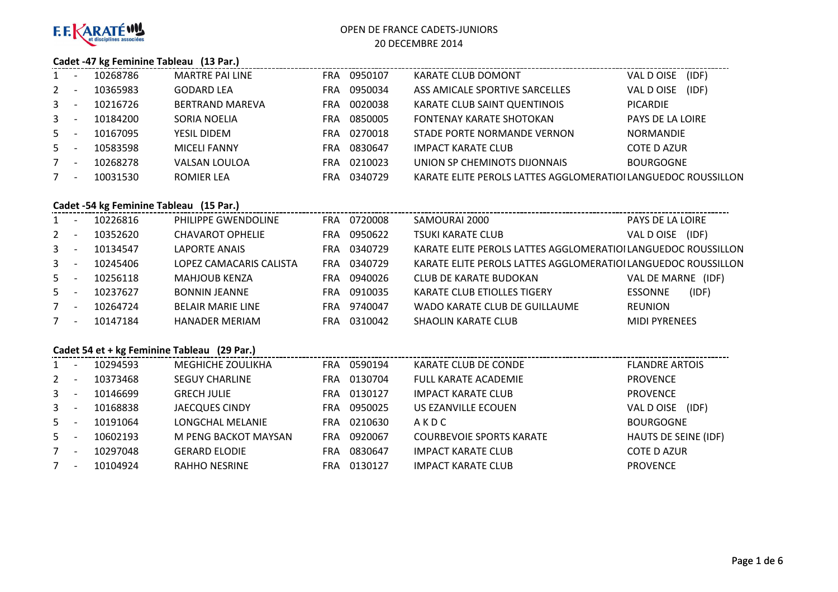

#### **Cadet -47 kg Feminine Tableau (13 Par.)**

| $1 \quad$    | 10268786 | MARTRE PAI LINE        | FRA        | 0950107 | KARATE CLUB DOMONT                                            | (IDF)<br>VAL D OISE |
|--------------|----------|------------------------|------------|---------|---------------------------------------------------------------|---------------------|
| $2^{\circ}$  | 10365983 | <b>GODARD LEA</b>      | FRA        | 0950034 | ASS AMICALE SPORTIVE SARCELLES                                | (IDF)<br>VAL D OISE |
| $\mathbf{3}$ | 10216726 | <b>BERTRAND MAREVA</b> | <b>FRA</b> | 0020038 | KARATE CLUB SAINT QUENTINOIS                                  | <b>PICARDIE</b>     |
| $\mathbf{3}$ | 10184200 | SORIA NOELIA           | <b>FRA</b> | 0850005 | <b>FONTENAY KARATE SHOTOKAN</b>                               | PAYS DE LA LOIRE    |
| $5 -$        | 10167095 | YESIL DIDEM            | FRA        | 0270018 | STADE PORTE NORMANDE VERNON                                   | <b>NORMANDIE</b>    |
| $5 -$        | 10583598 | <b>MICELI FANNY</b>    | FRA        | 0830647 | <b>IMPACT KARATE CLUB</b>                                     | <b>COTE D AZUR</b>  |
| $7^{\circ}$  | 10268278 | VALSAN LOULOA          | FRA        | 0210023 | UNION SP CHEMINOTS DIJONNAIS                                  | <b>BOURGOGNE</b>    |
|              | 10031530 | ROMIER LEA             | FRA        | 0340729 | KARATE ELITE PEROLS LATTES AGGLOMERATIOI LANGUEDOC ROUSSILLON |                     |

## **Cadet -54 kg Feminine Tableau (15 Par.)**

| $1 \quad$      | $\overline{\phantom{a}}$ | 10226816 | PHILIPPE GWENDOLINE      | FRA  | 0720008 | SAMOURAI 2000                                                 | PAYS DE LA LOIRE        |
|----------------|--------------------------|----------|--------------------------|------|---------|---------------------------------------------------------------|-------------------------|
| $2^{\circ}$    | $\overline{\phantom{a}}$ | 10352620 | <b>CHAVAROT OPHELIE</b>  | FRA. | 0950622 | <b>TSUKI KARATE CLUB</b>                                      | (IDF)<br>VAL D OISE     |
| $\mathbf{3}$   | $\overline{\phantom{a}}$ | 10134547 | LAPORTE ANAIS            | FRA  | 0340729 | KARATE ELITE PEROLS LATTES AGGLOMERATIOI LANGUEDOC ROUSSILLON |                         |
| $\mathbf{3}$   | $\overline{\phantom{a}}$ | 10245406 | LOPEZ CAMACARIS CALISTA  | FRA  | 0340729 | KARATE ELITE PEROLS LATTES AGGLOMERATIOI LANGUEDOC ROUSSILLON |                         |
| 5 <sup>1</sup> |                          | 10256118 | <b>MAHJOUB KENZA</b>     | FRA. | 0940026 | CLUB DE KARATE BUDOKAN                                        | VAL DE MARNE (IDF)      |
| $5 -$          | $\overline{\phantom{a}}$ | 10237627 | <b>BONNIN JEANNE</b>     | FRA  | 0910035 | <b>KARATE CLUB ETIOLLES TIGERY</b>                            | (IDF)<br><b>ESSONNE</b> |
| 7              | $\overline{\phantom{a}}$ | 10264724 | <b>BELAIR MARIE LINE</b> | FRA. | 9740047 | WADO KARATE CLUB DE GUILLAUME                                 | <b>REUNION</b>          |
| $7^{\circ}$    | $\overline{\phantom{a}}$ | 10147184 | HANADER MERIAM           | FRA  | 0310042 | <b>SHAOLIN KARATE CLUB</b>                                    | <b>MIDI PYRENEES</b>    |
|                |                          |          |                          |      |         |                                                               |                         |

#### **Cadet 54 et + kg Feminine Tableau (29 Par.)**

|             | 10294593 | <b>MEGHICHE ZOULIKHA</b> | <b>FRA</b> | 0590194 | KARATE CLUB DE CONDE            | <b>FLANDRE ARTOIS</b> |
|-------------|----------|--------------------------|------------|---------|---------------------------------|-----------------------|
| $2^{\circ}$ | 10373468 | <b>SEGUY CHARLINE</b>    | <b>FRA</b> | 0130704 | <b>FULL KARATE ACADEMIE</b>     | <b>PROVENCE</b>       |
| $3 -$       | 10146699 | <b>GRECH JULIE</b>       | FRA        | 0130127 | <b>IMPACT KARATE CLUB</b>       | <b>PROVENCE</b>       |
| $3^{\circ}$ | 10168838 | <b>JAECQUES CINDY</b>    | <b>FRA</b> | 0950025 | US EZANVILLE ECOUEN             | (IDF)<br>VAL D OISE   |
| $5 -$       | 10191064 | LONGCHAL MELANIE         | FRA        | 0210630 | AKDC                            | <b>BOURGOGNE</b>      |
| $5 -$       | 10602193 | M PENG BACKOT MAYSAN     | FRA        | 0920067 | <b>COURBEVOIE SPORTS KARATE</b> | HAUTS DE SEINE (IDF)  |
|             | 10297048 | <b>GERARD ELODIE</b>     | <b>FRA</b> | 0830647 | <b>IMPACT KARATE CLUB</b>       | <b>COTE D AZUR</b>    |
| 7           | 10104924 | RAHHO NESRINE            | FRA        | 0130127 | <b>IMPACT KARATE CLUB</b>       | <b>PROVENCE</b>       |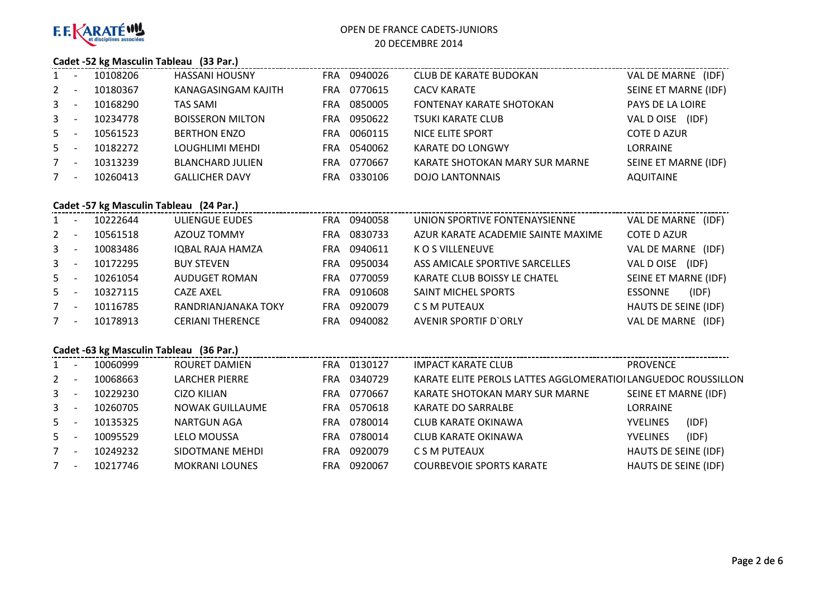

#### **Cadet -52 kg Masculin Tableau (33 Par.)**

| 1            | 10108206 | <b>HASSANI HOUSNY</b>   | FRA | 0940026 | <b>CLUB DE KARATE BUDOKAN</b>   | VAL DE MARNE (IDF)      |
|--------------|----------|-------------------------|-----|---------|---------------------------------|-------------------------|
| $2^{\circ}$  | 10180367 | KANAGASINGAM KAJITH     | FRA | 0770615 | <b>CACV KARATE</b>              | SEINE ET MARNE (IDF)    |
| $3^{\circ}$  | 10168290 | <b>TAS SAMI</b>         | FRA | 0850005 | <b>FONTENAY KARATE SHOTOKAN</b> | <b>PAYS DE LA LOIRE</b> |
| $\mathbf{3}$ | 10234778 | <b>BOISSERON MILTON</b> | FRA | 0950622 | <b>TSUKI KARATE CLUB</b>        | (IDF)<br>VAL D OISE     |
| $5 -$        | 10561523 | <b>BERTHON ENZO</b>     | FRA | 0060115 | NICE ELITE SPORT                | <b>COTE D AZUR</b>      |
| $5 -$        | 10182272 | LOUGHLIMI MEHDI         | FRA | 0540062 | KARATE DO LONGWY                | LORRAINE                |
| $7^{\circ}$  | 10313239 | <b>BLANCHARD JULIEN</b> | FRA | 0770667 | KARATE SHOTOKAN MARY SUR MARNE  | SEINE ET MARNE (IDF)    |
| $7^{\circ}$  | 10260413 | <b>GALLICHER DAVY</b>   | FRA | 0330106 | <b>DOJO LANTONNAIS</b>          | <b>AQUITAINE</b>        |

# **Cadet -57 kg Masculin Tableau (24 Par.)**

| $1 \quad$   | 10222644 | ULIENGUE EUDES          |            | FRA 0940058 | UNION SPORTIVE FONTENAYSIENNE      | VAL DE MARNE (IDF)      |
|-------------|----------|-------------------------|------------|-------------|------------------------------------|-------------------------|
| $2^{\circ}$ | 10561518 | AZOUZ TOMMY             | <b>FRA</b> | 0830733     | AZUR KARATE ACADEMIE SAINTE MAXIME | <b>COTE D AZUR</b>      |
| $3^{\circ}$ | 10083486 | IQBAL RAJA HAMZA        | FRA        | 0940611     | K O S VILLENEUVE                   | VAL DE MARNE (IDF)      |
| $3 -$       | 10172295 | <b>BUY STEVEN</b>       | FRA.       | 0950034     | ASS AMICALE SPORTIVE SARCELLES     | (IDF)<br>VAL D OISE     |
| $5 -$       | 10261054 | AUDUGET ROMAN           | FRA.       | 0770059     | KARATE CLUB BOISSY LE CHATEL       | SEINE ET MARNE (IDF)    |
| $5 -$       | 10327115 | CAZE AXEL               | FRA.       | 0910608     | SAINT MICHEL SPORTS                | (IDF)<br><b>ESSONNE</b> |
| 7           | 10116785 | RANDRIANJANAKA TOKY     | FRA        | 0920079     | C S M PUTEAUX                      | HAUTS DE SEINE (IDF)    |
| 7           | 10178913 | <b>CERIANI THERENCE</b> | FRA        | 0940082     | <b>AVENIR SPORTIF D'ORLY</b>       | VAL DE MARNE (IDF)      |

#### **Cadet -63 kg Masculin Tableau (36 Par.)**

| $1 \quad$      | 10060999 | ROURET DAMIEN         | <b>FRA</b> | 0130127 | <b>IMPACT KARATE CLUB</b>                                     | <b>PROVENCE</b>          |
|----------------|----------|-----------------------|------------|---------|---------------------------------------------------------------|--------------------------|
| 2              | 10068663 | <b>LARCHER PIERRE</b> | <b>FRA</b> | 0340729 | KARATE ELITE PEROLS LATTES AGGLOMERATIOI LANGUEDOC ROUSSILLON |                          |
| $\mathbf{3}$   | 10229230 | <b>CIZO KILIAN</b>    | <b>FRA</b> | 0770667 | KARATE SHOTOKAN MARY SUR MARNE                                | SEINE ET MARNE (IDF)     |
| 3 <sup>1</sup> | 10260705 | NOWAK GUILLAUME       | FRA.       | 0570618 | KARATE DO SARRALBE                                            | <b>LORRAINE</b>          |
| 5              | 10135325 | NARTGUN AGA           | <b>FRA</b> | 0780014 | <b>CLUB KARATE OKINAWA</b>                                    | (IDF)<br><b>YVELINES</b> |
| 5              | 10095529 | <b>LELO MOUSSA</b>    | <b>FRA</b> | 0780014 | CLUB KARATE OKINAWA                                           | (IDF)<br><b>YVELINES</b> |
|                | 10249232 | SIDOTMANE MEHDI       | <b>FRA</b> | 0920079 | C S M PUTEAUX                                                 | HAUTS DE SEINE (IDF)     |
|                | 10217746 | <b>MOKRANI LOUNES</b> | FRA        | 0920067 | <b>COURBEVOIE SPORTS KARATE</b>                               | HAUTS DE SEINE (IDF)     |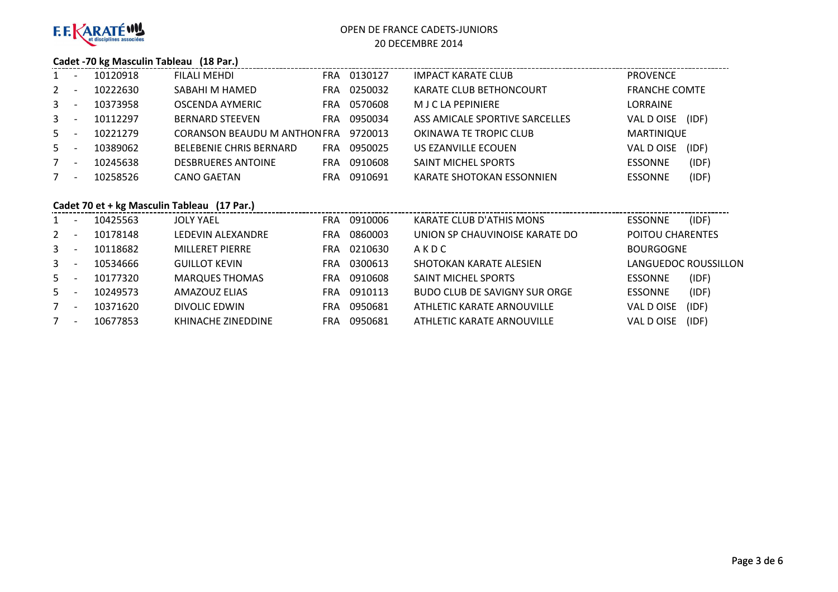

#### **Cadet -70 kg Masculin Tableau (18 Par.)**

| 1           | 10120918 | FILALI MEHDI                   | FRA. | 0130127 | IMPACT KARATE CLUB             | <b>PROVENCE</b>         |
|-------------|----------|--------------------------------|------|---------|--------------------------------|-------------------------|
| $2^{\circ}$ | 10222630 | SABAHI M HAMED                 | FRA  | 0250032 | KARATE CLUB BETHONCOURT        | <b>FRANCHE COMTE</b>    |
| $3 -$       | 10373958 | <b>OSCENDA AYMERIC</b>         | FRA  | 0570608 | M J C LA PEPINIERE             | LORRAINE                |
| $3 -$       | 10112297 | <b>BERNARD STEEVEN</b>         | FRA. | 0950034 | ASS AMICALE SPORTIVE SARCELLES | VAL D OISE<br>(IDF)     |
| $5 -$       | 10221279 | CORANSON BEAUDU M ANTHON FRA   |      | 9720013 | OKINAWA TE TROPIC CLUB         | MARTINIQUE              |
| $5 -$       | 10389062 | <b>BELEBENIE CHRIS BERNARD</b> | FRA  | 0950025 | US EZANVILLE ECOUEN            | VAL D OISE<br>(IDF)     |
| $7^{\circ}$ | 10245638 | <b>DESBRUERES ANTOINE</b>      | FRA  | 0910608 | <b>SAINT MICHEL SPORTS</b>     | (IDF)<br><b>ESSONNE</b> |
| 7           | 10258526 | <b>CANO GAETAN</b>             | FRA  | 0910691 | KARATE SHOTOKAN ESSONNIEN      | (IDF)<br><b>ESSONNE</b> |
|             |          |                                |      |         |                                |                         |

## **Cadet 70 et + kg Masculin Tableau (17 Par.)**

| 1              | 10425563 | <b>JOLY YAEL</b>       | <b>FRA</b> | 0910006 | KARATE CLUB D'ATHIS MONS       | <b>ESSONNE</b>   | (IDF)                |
|----------------|----------|------------------------|------------|---------|--------------------------------|------------------|----------------------|
| $2^{\circ}$    | 10178148 | LEDEVIN ALEXANDRE      | FRA        | 0860003 | UNION SP CHAUVINOISE KARATE DO | POITOU CHARENTES |                      |
| 3 <sup>1</sup> | 10118682 | <b>MILLERET PIERRE</b> | <b>FRA</b> | 0210630 | AKDC                           | <b>BOURGOGNE</b> |                      |
| $\mathbf{3}$   | 10534666 | <b>GUILLOT KEVIN</b>   | <b>FRA</b> | 0300613 | SHOTOKAN KARATE ALESIEN        |                  | LANGUEDOC ROUSSILLON |
| $5 -$          | 10177320 | <b>MARQUES THOMAS</b>  | <b>FRA</b> | 0910608 | <b>SAINT MICHEL SPORTS</b>     | <b>ESSONNE</b>   | (IDF)                |
| $5 -$          | 10249573 | AMAZOUZ ELIAS          | <b>FRA</b> | 0910113 | BUDO CLUB DE SAVIGNY SUR ORGE  | <b>ESSONNE</b>   | (IDF)                |
| 7              | 10371620 | DIVOLIC EDWIN          | FRA        | 0950681 | ATHLETIC KARATE ARNOUVILLE     | VAL D OISE       | (IDF)                |
| $7^{\circ}$    | 10677853 | KHINACHE ZINEDDINE     | FRA        | 0950681 | ATHLETIC KARATE ARNOUVILLE     | VAL D OISE       | (IDF)                |
|                |          |                        |            |         |                                |                  |                      |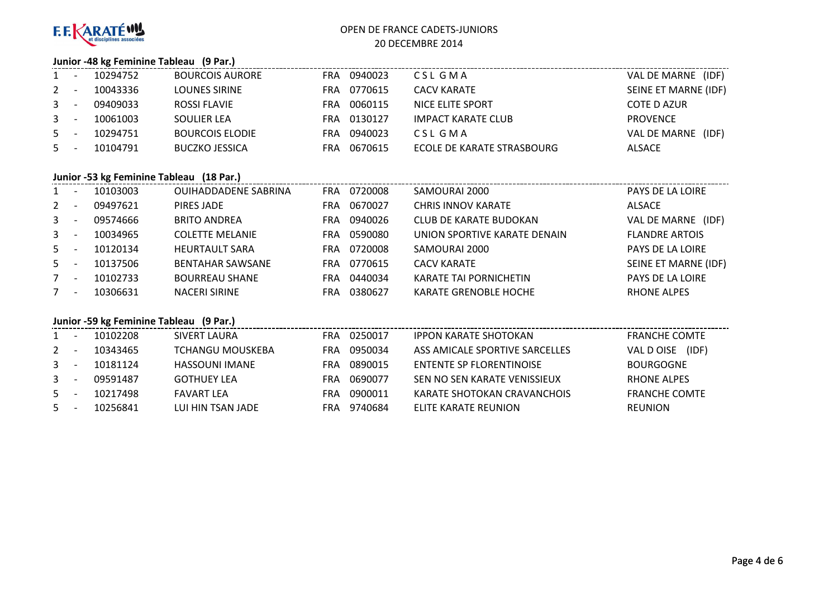

#### **Junior -48 kg Feminine Tableau (9 Par.)**

| $\mathbf{1}$ | 10294752 | <b>BOURCOIS AURORE</b> | <b>FRA</b> | 0940023 | CSL GMA                    | VAL DE MARNE (IDF)   |
|--------------|----------|------------------------|------------|---------|----------------------------|----------------------|
| $2 -$        | 10043336 | LOUNES SIRINE          | <b>FRA</b> | 0770615 | CACV KARATE                | SEINE ET MARNE (IDF) |
| $3 -$        | 09409033 | ROSSI FLAVIE           | <b>FRA</b> | 0060115 | NICE ELITE SPORT           | COTE D AZUR          |
| $3 -$        | 10061003 | SOULIER LEA            | <b>FRA</b> | 0130127 | IMPACT KARATE CLUB         | <b>PROVENCE</b>      |
| $5 -$        | 10294751 | <b>BOURCOIS ELODIE</b> | <b>FRA</b> | 0940023 | CSL GMA                    | VAL DE MARNE (IDF)   |
| $5 -$        | 10104791 | BUCZKO JESSICA         | <b>FRA</b> | 0670615 | ECOLE DE KARATE STRASBOURG | <b>ALSACE</b>        |

#### **Junior -53 kg Feminine Tableau (18 Par.)**

| 1            | 10103003 | <b>OUIHADDADENE SABRINA</b> | <b>FRA</b> | 0720008 | SAMOURAI 2000                 | PAYS DE LA LOIRE      |
|--------------|----------|-----------------------------|------------|---------|-------------------------------|-----------------------|
| $2^{\circ}$  | 09497621 | PIRES JADE                  | <b>FRA</b> | 0670027 | <b>CHRIS INNOV KARATE</b>     | <b>ALSACE</b>         |
| $\mathbf{3}$ | 09574666 | <b>BRITO ANDREA</b>         | <b>FRA</b> | 0940026 | <b>CLUB DE KARATE BUDOKAN</b> | VAL DE MARNE (IDF)    |
| $\mathbf{3}$ | 10034965 | <b>COLETTE MELANIE</b>      | <b>FRA</b> | 0590080 | UNION SPORTIVE KARATE DENAIN  | <b>FLANDRE ARTOIS</b> |
| 5            | 10120134 | <b>HEURTAULT SARA</b>       | <b>FRA</b> | 0720008 | SAMOURAI 2000                 | PAYS DE LA LOIRE      |
| 5            | 10137506 | <b>BENTAHAR SAWSANE</b>     | <b>FRA</b> | 0770615 | <b>CACV KARATE</b>            | SEINE ET MARNE (IDF)  |
| $7^{\circ}$  | 10102733 | <b>BOURREAU SHANE</b>       | <b>FRA</b> | 0440034 | <b>KARATE TAI PORNICHETIN</b> | PAYS DE LA LOIRE      |
| 7            | 10306631 | <b>NACERI SIRINE</b>        | FRA        | 0380627 | <b>KARATE GRENOBLE HOCHE</b>  | <b>RHONE ALPES</b>    |

## **Junior -59 kg Feminine Tableau (9 Par.)**

| $1 \quad$ | 10102208 | SIVERT LAURA       | <b>FRA</b> | 0250017 | <b>IPPON KARATE SHOTOKAN</b>    | <b>FRANCHE COMTE</b> |
|-----------|----------|--------------------|------------|---------|---------------------------------|----------------------|
| 2         | 10343465 | TCHANGU MOUSKEBA   | <b>FRA</b> | 0950034 | ASS AMICALE SPORTIVE SARCELLES  | (IDF)<br>VAL D OISE  |
| 3         | 10181124 | HASSOUNI IMANE     | FRA        | 0890015 | <b>ENTENTE SP FLORENTINOISE</b> | <b>BOURGOGNE</b>     |
| 3         | 09591487 | <b>GOTHUEY LEA</b> | FRA        | 0690077 | SEN NO SEN KARATE VENISSIEUX    | <b>RHONE ALPES</b>   |
| 5         | 10217498 | <b>FAVART LFA</b>  | FRA        | 0900011 | KARATE SHOTOKAN CRAVANCHOIS     | <b>FRANCHE COMTE</b> |
| 5         | 10256841 | LUI HIN TSAN JADE  | <b>FRA</b> | 9740684 | ELITE KARATE REUNION            | <b>REUNION</b>       |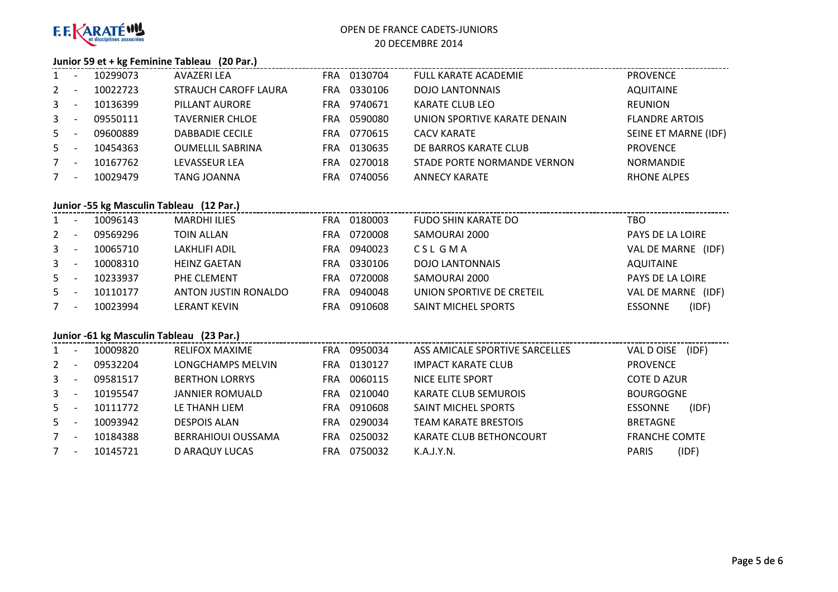

#### **Junior 59 et + kg Feminine Tableau (20 Par.)**

| $1 \quad$      | 10299073 | AVAZERI LEA                 | FRA        | 0130704 | <b>FULL KARATE ACADEMIE</b>  | <b>PROVENCE</b>       |
|----------------|----------|-----------------------------|------------|---------|------------------------------|-----------------------|
| $2^{\circ}$    | 10022723 | <b>STRAUCH CAROFF LAURA</b> | FRA        | 0330106 | <b>DOJO LANTONNAIS</b>       | <b>AQUITAINE</b>      |
| 3 <sup>7</sup> | 10136399 | PILLANT AURORE              | FRA        | 9740671 | <b>KARATE CLUB LEO</b>       | <b>REUNION</b>        |
| $3 -$          | 09550111 | <b>TAVERNIER CHLOE</b>      | <b>FRA</b> | 0590080 | UNION SPORTIVE KARATE DENAIN | <b>FLANDRE ARTOIS</b> |
| $5 -$          | 09600889 | <b>DABBADIE CECILE</b>      | FRA        | 0770615 | <b>CACV KARATE</b>           | SEINE ET MARNE (IDF)  |
| $5 -$          | 10454363 | <b>OUMELLIL SABRINA</b>     | <b>FRA</b> | 0130635 | DE BARROS KARATE CLUB        | <b>PROVENCE</b>       |
| $7^{\circ}$    | 10167762 | <b>LEVASSEUR LEA</b>        | FRA        | 0270018 | STADE PORTE NORMANDE VERNON  | <b>NORMANDIE</b>      |
| $7^{\circ}$    | 10029479 | <b>TANG JOANNA</b>          | FRA        | 0740056 | <b>ANNECY KARATE</b>         | <b>RHONE ALPES</b>    |

## **Junior -55 kg Masculin Tableau (12 Par.)**

| $1 \quad$   |                          | 10096143 | <b>MARDHI ILIES</b>  | FRA | 0180003 | <b>FUDO SHIN KARATE DO</b> | TBO                     |
|-------------|--------------------------|----------|----------------------|-----|---------|----------------------------|-------------------------|
| $2^{\circ}$ | $\overline{\phantom{a}}$ | 09569296 | <b>TOIN ALLAN</b>    | FRA | 0720008 | SAMOURAI 2000              | PAYS DE LA LOIRE        |
| $3 - 5$     |                          | 10065710 | LAKHLIFI ADIL        | FRA | 0940023 | CSL GMA                    | VAL DE MARNE<br>(IDF)   |
| $3 -$       |                          | 10008310 | <b>HEINZ GAETAN</b>  | FRA | 0330106 | <b>DOJO LANTONNAIS</b>     | AQUITAINE               |
| $5 -$       |                          | 10233937 | PHE CLEMENT          | FRA | 0720008 | SAMOURAI 2000              | PAYS DE LA LOIRE        |
| $5 -$       |                          | 10110177 | ANTON JUSTIN RONALDO | FRA | 0940048 | UNION SPORTIVE DE CRETEIL  | VAL DE MARNE (IDF)      |
|             | $\overline{\phantom{a}}$ | 10023994 | <b>LERANT KEVIN</b>  | FRA | 0910608 | <b>SAINT MICHEL SPORTS</b> | (IDF)<br><b>ESSONNE</b> |

#### **Junior -61 kg Masculin Tableau (23 Par.)**

| $1 \quad$    | 10009820 | <b>RELIFOX MAXIME</b>     | <b>FRA</b> | 0950034 | ASS AMICALE SPORTIVE SARCELLES | (IDF)<br>VAL D OISE     |
|--------------|----------|---------------------------|------------|---------|--------------------------------|-------------------------|
| $2^{\circ}$  | 09532204 | LONGCHAMPS MELVIN         | <b>FRA</b> | 0130127 | <b>IMPACT KARATE CLUB</b>      | <b>PROVENCE</b>         |
| $\mathbf{3}$ | 09581517 | <b>BERTHON LORRYS</b>     | FRA        | 0060115 | NICE ELITE SPORT               | COTE D AZUR             |
| $\mathbf{3}$ | 10195547 | JANNIER ROMUALD           | FRA        | 0210040 | <b>KARATE CLUB SEMUROIS</b>    | <b>BOURGOGNE</b>        |
| 5            | 10111772 | LE THANH LIEM             | FRA        | 0910608 | <b>SAINT MICHEL SPORTS</b>     | (IDF)<br><b>ESSONNE</b> |
| 5.           | 10093942 | <b>DESPOIS ALAN</b>       | FRA        | 0290034 | <b>TEAM KARATE BRESTOIS</b>    | <b>BRETAGNE</b>         |
|              | 10184388 | <b>BERRAHIOUI OUSSAMA</b> | <b>FRA</b> | 0250032 | <b>KARATE CLUB BETHONCOURT</b> | <b>FRANCHE COMTE</b>    |
|              | 10145721 | <b>D ARAQUY LUCAS</b>     | FRA        | 0750032 | K.A.J.Y.N.                     | (IDF)<br><b>PARIS</b>   |